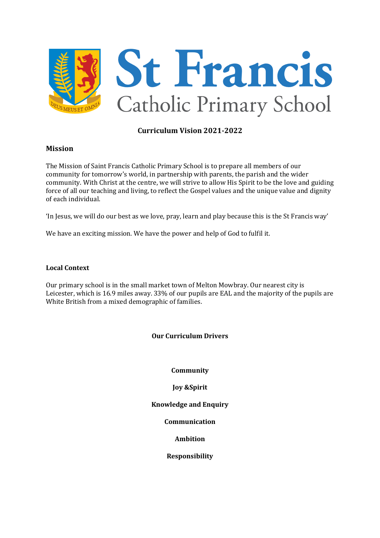

# **Curriculum Vision 2021-2022**

#### **Mission**

The Mission of Saint Francis Catholic Primary School is to prepare all members of our community for tomorrow's world, in partnership with parents, the parish and the wider community. With Christ at the centre, we will strive to allow His Spirit to be the love and guiding force of all our teaching and living, to reflect the Gospel values and the unique value and dignity of each individual.

'In Jesus, we will do our best as we love, pray, learn and play because this is the St Francis way'

We have an exciting mission. We have the power and help of God to fulfil it.

#### **Local Context**

Our primary school is in the small market town of Melton Mowbray. Our nearest city is Leicester, which is 16.9 miles away. 33% of our pupils are EAL and the majority of the pupils are White British from a mixed demographic of families.

## **Our Curriculum Drivers**

**Community**

**Joy &Spirit**

**Knowledge and Enquiry**

**Communication**

**Ambition**

**Responsibility**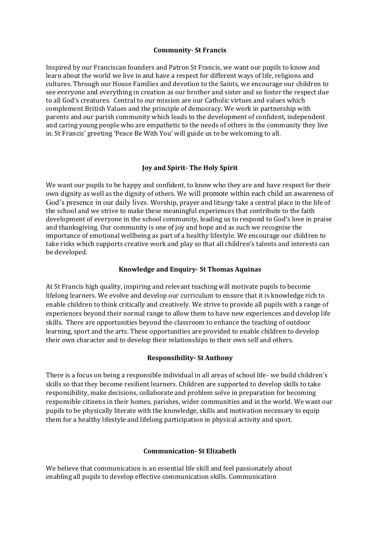#### **Community- St Francis**

Inspired by our Franciscan founders and Patron St Francis, we want our pupils to know and learn about the world we live in and have a respect for different ways of life, religions and cultures. Through our House Families and devotion to the Saints, we encourage our children to see everyone and everything in creation as our brother and sister and so foster the respect due to all God's creatures. Central to our mission are our Catholic virtues and values which complement British Values and the principle of democracy. We work in partnership with parents and our parish community which leads to the development of confident, independent and caring young people who are empathetic to the needs of others in the community they live in. St Francis' greeting 'Peace Be With You' will guide us to be welcoming to all.

## **Joy and Spirit- The Holy Spirit**

We want our pupils to be happy and confident, to know who they are and have respect for their own dignity as well as the dignity of others. We will promote within each child an awareness of God's presence in our daily lives. Worship, prayer and liturgy take a central place in the life of the school and we strive to make these meaningful experiences that contribute to the faith development of everyone in the school community, leading us to respond to God's love in praise and thanksgiving. Our community is one of joy and hope and as such we recognise the importance of emotional wellbeing as part of a healthy lifestyle. We encourage our children to take risks which supports creative work and play so that all children's talents and interests can be developed.

## **Knowledge and Enquiry- St Thomas Aquinas**

At St Francis high quality, inspiring and relevant teaching will motivate pupils to become lifelong learners. We evolve and develop our curriculum to ensure that it is knowledge rich to enable children to think critically and creatively. We strive to provide all pupils with a range of experiences beyond their normal range to allow them to have new experiences and develop life skills. There are opportunities beyond the classroom to enhance the teaching of outdoor learning, sport and the arts. These opportunities are provided to enable children to develop their own character and to develop their relationships to their own self and others.

## **Responsibility- St Anthony**

There is a focus on being a responsible individual in all areas of school life- we build children's skills so that they become resilient learners. Children are supported to develop skills to take responsibility, make decisions, collaborate and problem solve in preparation for becoming responsible citizens in their homes, parishes, wider communities and in the world. We want our pupils to be physically literate with the knowledge, skills and motivation necessary to equip them for a healthy lifestyle and lifelong participation in physical activity and sport.

## **Communication- St Elizabeth**

We believe that communication is an essential life skill and feel passionately about enabling all pupils to develop effective communication skills. Communication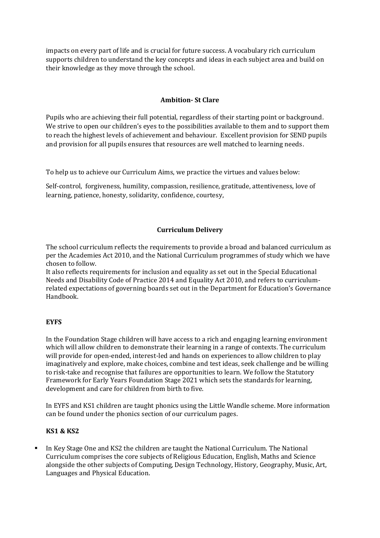impacts on every part of life and is crucial for future success. A vocabulary rich curriculum supports children to understand the key concepts and ideas in each subject area and build on their knowledge as they move through the school.

# **Ambition- St Clare**

Pupils who are achieving their full potential, regardless of their starting point or background. We strive to open our children's eyes to the possibilities available to them and to support them to reach the highest levels of achievement and behaviour. Excellent provision for SEND pupils and provision for all pupils ensures that resources are well matched to learning needs.

To help us to achieve our Curriculum Aims, we practice the virtues and values below:

Self-control, forgiveness, humility, compassion, resilience, gratitude, attentiveness, love of learning, patience, honesty, solidarity, confidence, courtesy,

## **Curriculum Delivery**

The school curriculum reflects the requirements to provide a broad and balanced curriculum as per the [Academies Act 2010,](http://www.legislation.gov.uk/ukpga/2010/32/section/1A) and the [National Curriculum programmes of study](https://www.gov.uk/government/collections/national-curriculum) which we have chosen to follow.

It also reflects requirements for inclusion and equality as set out in the [Special Educational](https://www.gov.uk/government/publications/send-code-of-practice-0-to-25)  [Needs and Disability Code of Practice 2014](https://www.gov.uk/government/publications/send-code-of-practice-0-to-25) and [Equality Act 2010,](http://www.legislation.gov.uk/ukpga/2010/15/part/6/chapter/1) and refers to curriculumrelated expectations of governing boards set out in the Department for Education's [Governance](https://www.gov.uk/government/publications/governance-handbook)  [Handbook.](https://www.gov.uk/government/publications/governance-handbook)

## **EYFS**

In the Foundation Stage children will have access to a rich and engaging learning environment which will allow children to demonstrate their learning in a range of contexts. The curriculum will provide for open-ended, interest-led and hands on experiences to allow children to play imaginatively and explore, make choices, combine and test ideas, seek challenge and be willing to risk-take and recognise that failures are opportunities to learn. We follow the Statutory Framework for Early Years Foundation Stage 2021 which sets the standards for learning, development and care for children from birth to five.

In EYFS and KS1 children are taught phonics using the Little Wandle scheme. More information can be found under the phonics section of our curriculum pages.

# **KS1 & KS2**

In Key Stage One and KS2 the children are taught the National Curriculum. The National Curriculum comprises the core subjects of Religious Education, English, Maths and Science alongside the other subjects of Computing, Design Technology, History, Geography, Music, Art, Languages and Physical Education.